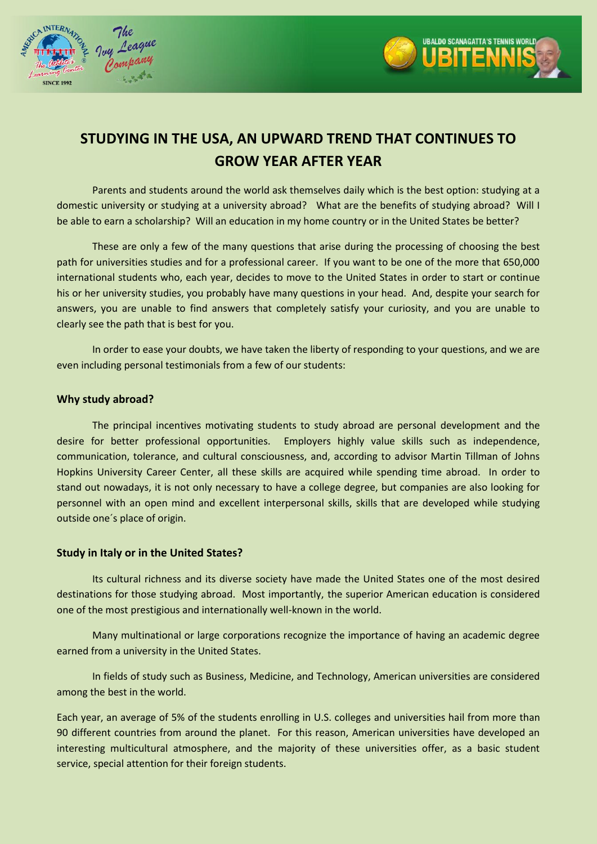



# **STUDYING IN THE USA, AN UPWARD TREND THAT CONTINUES TO GROW YEAR AFTER YEAR**

Parents and students around the world ask themselves daily which is the best option: studying at a domestic university or studying at a university abroad? What are the benefits of studying abroad? Will I be able to earn a scholarship? Will an education in my home country or in the United States be better?

These are only a few of the many questions that arise during the processing of choosing the best path for universities studies and for a professional career. If you want to be one of the more that 650,000 international students who, each year, decides to move to the United States in order to start or continue his or her university studies, you probably have many questions in your head. And, despite your search for answers, you are unable to find answers that completely satisfy your curiosity, and you are unable to clearly see the path that is best for you.

In order to ease your doubts, we have taken the liberty of responding to your questions, and we are even including personal testimonials from a few of our students:

# **Why study abroad?**

The principal incentives motivating students to study abroad are personal development and the desire for better professional opportunities. Employers highly value skills such as independence, communication, tolerance, and cultural consciousness, and, according to advisor Martin Tillman of Johns Hopkins University Career Center, all these skills are acquired while spending time abroad. In order to stand out nowadays, it is not only necessary to have a college degree, but companies are also looking for personnel with an open mind and excellent interpersonal skills, skills that are developed while studying outside one´s place of origin.

## **Study in Italy or in the United States?**

Its cultural richness and its diverse society have made the United States one of the most desired destinations for those studying abroad. Most importantly, the superior American education is considered one of the most prestigious and internationally well-known in the world.

Many multinational or large corporations recognize the importance of having an academic degree earned from a university in the United States.

In fields of study such as Business, Medicine, and Technology, American universities are considered among the best in the world.

Each year, an average of 5% of the students enrolling in U.S. colleges and universities hail from more than 90 different countries from around the planet. For this reason, American universities have developed an interesting multicultural atmosphere, and the majority of these universities offer, as a basic student service, special attention for their foreign students.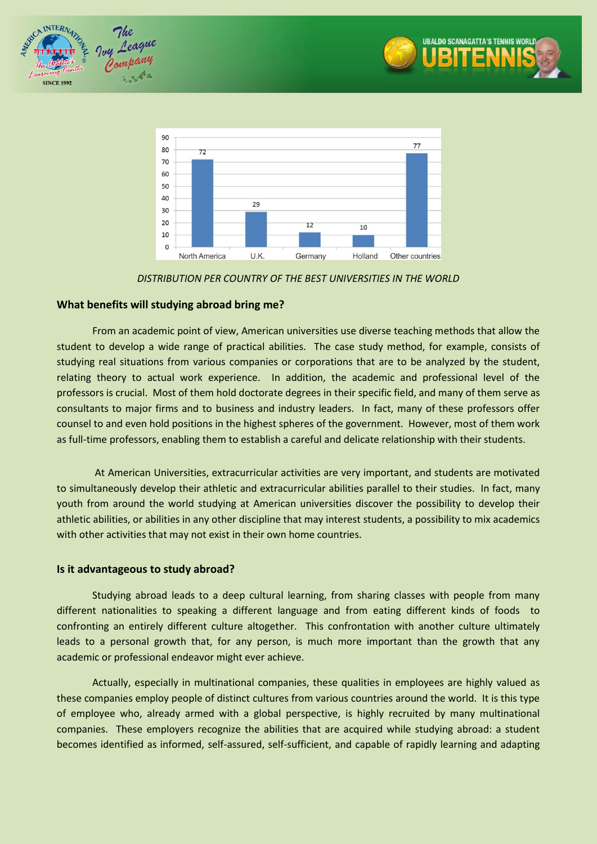





*DISTRIBUTION PER COUNTRY OF THE BEST UNIVERSITIES IN THE WORLD*

# **What benefits will studying abroad bring me?**

From an academic point of view, American universities use diverse teaching methods that allow the student to develop a wide range of practical abilities. The case study method, for example, consists of studying real situations from various companies or corporations that are to be analyzed by the student, relating theory to actual work experience. In addition, the academic and professional level of the professors is crucial. Most of them hold doctorate degrees in their specific field, and many of them serve as consultants to major firms and to business and industry leaders. In fact, many of these professors offer counsel to and even hold positions in the highest spheres of the government. However, most of them work as full-time professors, enabling them to establish a careful and delicate relationship with their students.

At American Universities, extracurricular activities are very important, and students are motivated to simultaneously develop their athletic and extracurricular abilities parallel to their studies. In fact, many youth from around the world studying at American universities discover the possibility to develop their athletic abilities, or abilities in any other discipline that may interest students, a possibility to mix academics with other activities that may not exist in their own home countries.

## **Is it advantageous to study abroad?**

Studying abroad leads to a deep cultural learning, from sharing classes with people from many different nationalities to speaking a different language and from eating different kinds of foods to confronting an entirely different culture altogether. This confrontation with another culture ultimately leads to a personal growth that, for any person, is much more important than the growth that any academic or professional endeavor might ever achieve.

Actually, especially in multinational companies, these qualities in employees are highly valued as these companies employ people of distinct cultures from various countries around the world. It is this type of employee who, already armed with a global perspective, is highly recruited by many multinational companies. These employers recognize the abilities that are acquired while studying abroad: a student becomes identified as informed, self-assured, self-sufficient, and capable of rapidly learning and adapting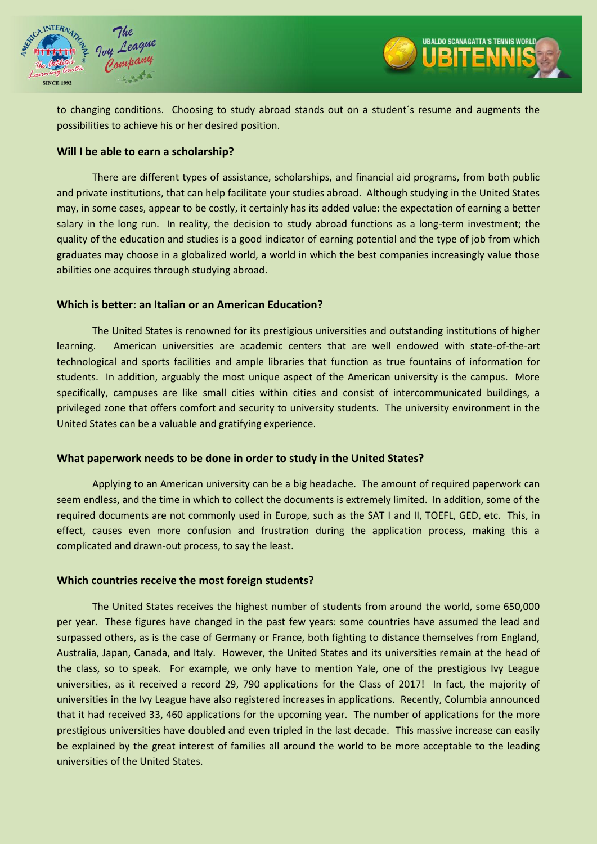



URALDO SCANAGATTA'S TENNIS WORLL **IBITENN** 

## **Will I be able to earn a scholarship?**

There are different types of assistance, scholarships, and financial aid programs, from both public and private institutions, that can help facilitate your studies abroad. Although studying in the United States may, in some cases, appear to be costly, it certainly has its added value: the expectation of earning a better salary in the long run. In reality, the decision to study abroad functions as a long-term investment; the quality of the education and studies is a good indicator of earning potential and the type of job from which graduates may choose in a globalized world, a world in which the best companies increasingly value those abilities one acquires through studying abroad.

#### **Which is better: an Italian or an American Education?**

The United States is renowned for its prestigious universities and outstanding institutions of higher learning. American universities are academic centers that are well endowed with state-of-the-art technological and sports facilities and ample libraries that function as true fountains of information for students. In addition, arguably the most unique aspect of the American university is the campus. More specifically, campuses are like small cities within cities and consist of intercommunicated buildings, a privileged zone that offers comfort and security to university students. The university environment in the United States can be a valuable and gratifying experience.

## **What paperwork needs to be done in order to study in the United States?**

Applying to an American university can be a big headache. The amount of required paperwork can seem endless, and the time in which to collect the documents is extremely limited. In addition, some of the required documents are not commonly used in Europe, such as the SAT I and II, TOEFL, GED, etc. This, in effect, causes even more confusion and frustration during the application process, making this a complicated and drawn-out process, to say the least.

#### **Which countries receive the most foreign students?**

The United States receives the highest number of students from around the world, some 650,000 per year. These figures have changed in the past few years: some countries have assumed the lead and surpassed others, as is the case of Germany or France, both fighting to distance themselves from England, Australia, Japan, Canada, and Italy. However, the United States and its universities remain at the head of the class, so to speak. For example, we only have to mention Yale, one of the prestigious Ivy League universities, as it received a record 29, 790 applications for the Class of 2017! In fact, the majority of universities in the Ivy League have also registered increases in applications. Recently, Columbia announced that it had received 33, 460 applications for the upcoming year. The number of applications for the more prestigious universities have doubled and even tripled in the last decade. This massive increase can easily be explained by the great interest of families all around the world to be more acceptable to the leading universities of the United States.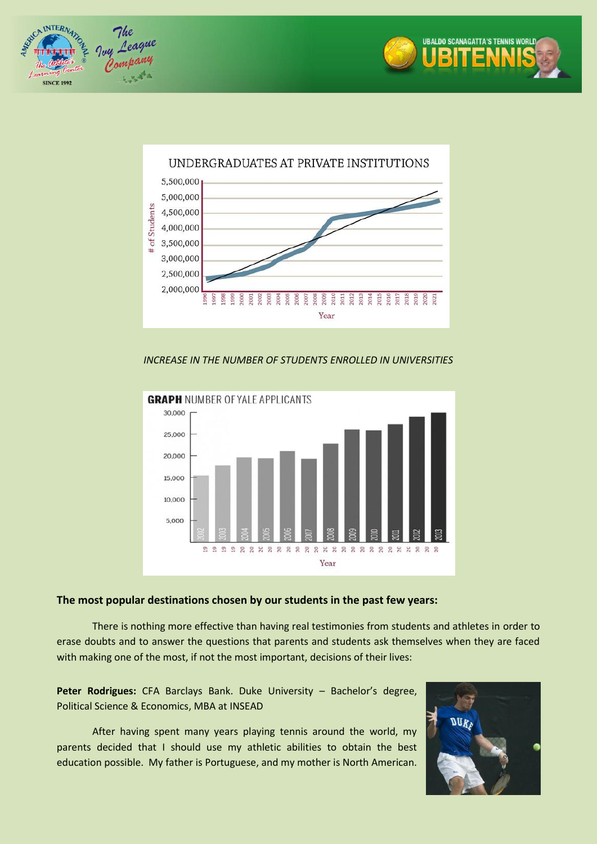





## *INCREASE IN THE NUMBER OF STUDENTS ENROLLED IN UNIVERSITIES*



# **The most popular destinations chosen by our students in the past few years:**

There is nothing more effective than having real testimonies from students and athletes in order to erase doubts and to answer the questions that parents and students ask themselves when they are faced with making one of the most, if not the most important, decisions of their lives:

**Peter Rodrigues:** CFA Barclays Bank. Duke University – Bachelor's degree, Political Science & Economics, MBA at INSEAD

After having spent many years playing tennis around the world, my parents decided that I should use my athletic abilities to obtain the best education possible. My father is Portuguese, and my mother is North American.

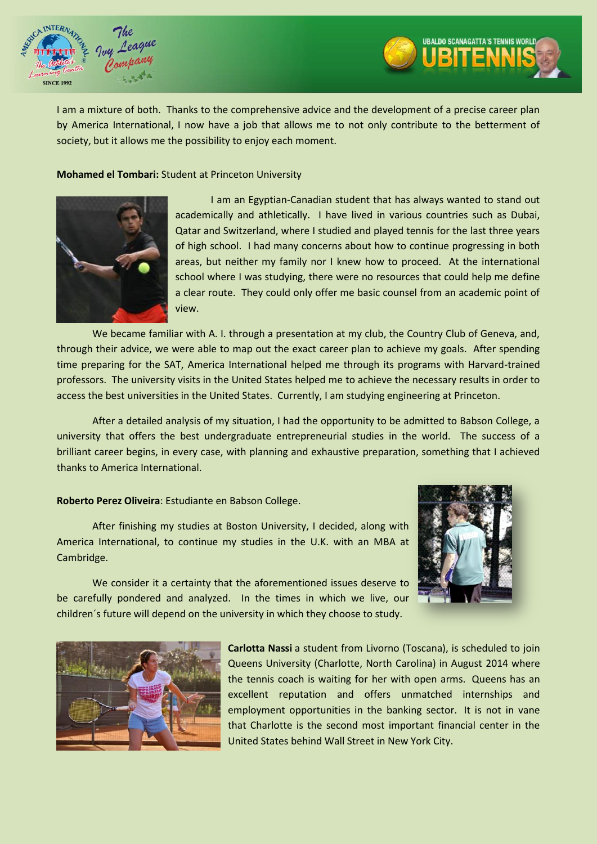



#### **Mohamed el Tombari:** Student at Princeton University



I am an Egyptian-Canadian student that has always wanted to stand out academically and athletically. I have lived in various countries such as Dubai, Qatar and Switzerland, where I studied and played tennis for the last three years of high school. I had many concerns about how to continue progressing in both areas, but neither my family nor I knew how to proceed. At the international school where I was studying, there were no resources that could help me define a clear route. They could only offer me basic counsel from an academic point of view.

We became familiar with A. I. through a presentation at my club, the Country Club of Geneva, and, through their advice, we were able to map out the exact career plan to achieve my goals. After spending time preparing for the SAT, America International helped me through its programs with Harvard-trained professors. The university visits in the United States helped me to achieve the necessary results in order to access the best universities in the United States. Currently, I am studying engineering at Princeton.

After a detailed analysis of my situation, I had the opportunity to be admitted to Babson College, a university that offers the best undergraduate entrepreneurial studies in the world. The success of a brilliant career begins, in every case, with planning and exhaustive preparation, something that I achieved thanks to America International.

#### **Roberto Perez Oliveira**: Estudiante en Babson College.

After finishing my studies at Boston University, I decided, along with America International, to continue my studies in the U.K. with an MBA at Cambridge.

We consider it a certainty that the aforementioned issues deserve to be carefully pondered and analyzed. In the times in which we live, our children´s future will depend on the university in which they choose to study.



URALDO SCANAGATTA'S TENNIS WOR **BITENN** 



**Carlotta Nassi** a student from Livorno (Toscana), is scheduled to join Queens University (Charlotte, North Carolina) in August 2014 where the tennis coach is waiting for her with open arms. Queens has an excellent reputation and offers unmatched internships and employment opportunities in the banking sector. It is not in vane that Charlotte is the second most important financial center in the United States behind Wall Street in New York City.